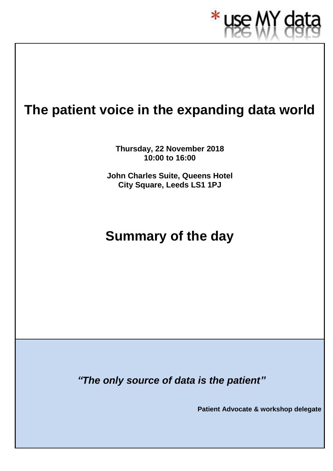

### **The patient voice in the expanding data world**

**Thursday, 22 November 2018 10:00 to 16:00**

**John Charles Suite, Queens Hotel City Square, Leeds LS1 1PJ**

## **Summary of the day**

*"The only source of data is the patient"*

**Patient Advocate & workshop delegate**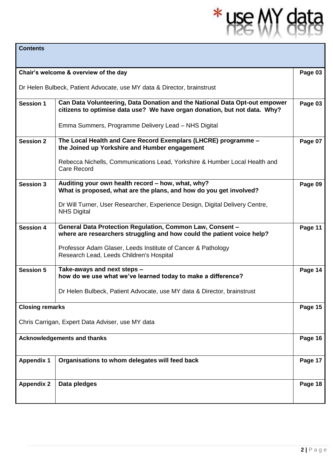# \* use MY data

| <b>Contents</b>                                                         |                                                                                                                                                         |         |
|-------------------------------------------------------------------------|---------------------------------------------------------------------------------------------------------------------------------------------------------|---------|
|                                                                         |                                                                                                                                                         |         |
| Chair's welcome & overview of the day                                   |                                                                                                                                                         | Page 03 |
| Dr Helen Bulbeck, Patient Advocate, use MY data & Director, brainstrust |                                                                                                                                                         |         |
| <b>Session 1</b>                                                        | Can Data Volunteering, Data Donation and the National Data Opt-out empower<br>citizens to optimise data use? We have organ donation, but not data. Why? | Page 03 |
|                                                                         | Emma Summers, Programme Delivery Lead - NHS Digital                                                                                                     |         |
| <b>Session 2</b>                                                        | The Local Health and Care Record Exemplars (LHCRE) programme -<br>the Joined up Yorkshire and Humber engagement                                         | Page 07 |
|                                                                         | Rebecca Nichells, Communications Lead, Yorkshire & Humber Local Health and<br><b>Care Record</b>                                                        |         |
| <b>Session 3</b>                                                        | Auditing your own health record - how, what, why?<br>What is proposed, what are the plans, and how do you get involved?                                 | Page 09 |
|                                                                         | Dr Will Turner, User Researcher, Experience Design, Digital Delivery Centre,<br><b>NHS Digital</b>                                                      |         |
| <b>Session 4</b>                                                        | General Data Protection Regulation, Common Law, Consent -<br>where are researchers struggling and how could the patient voice help?                     | Page 11 |
|                                                                         | Professor Adam Glaser, Leeds Institute of Cancer & Pathology<br>Research Lead, Leeds Children's Hospital                                                |         |
| <b>Session 5</b>                                                        | Take-aways and next steps -<br>how do we use what we've learned today to make a difference?                                                             | Page 14 |
|                                                                         | Dr Helen Bulbeck, Patient Advocate, use MY data & Director, brainstrust                                                                                 |         |
| <b>Closing remarks</b>                                                  |                                                                                                                                                         | Page 15 |
| Chris Carrigan, Expert Data Adviser, use MY data                        |                                                                                                                                                         |         |
| <b>Acknowledgements and thanks</b>                                      |                                                                                                                                                         | Page 16 |
| <b>Appendix 1</b>                                                       | Organisations to whom delegates will feed back                                                                                                          | Page 17 |
| <b>Appendix 2</b>                                                       | Data pledges                                                                                                                                            | Page 18 |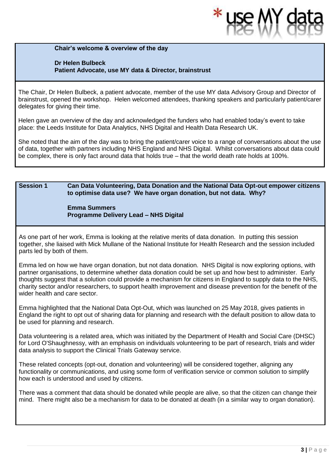#### **Chair's welcome & overview of the day**

#### **Dr Helen Bulbeck Patient Advocate, use MY data & Director, brainstrust**

The Chair, Dr Helen Bulbeck, a patient advocate, member of the use MY data Advisory Group and Director of brainstrust, opened the workshop. Helen welcomed attendees, thanking speakers and particularly patient/carer delegates for giving their time.

Helen gave an overview of the day and acknowledged the funders who had enabled today's event to take place: the Leeds Institute for Data Analytics, NHS Digital and Health Data Research UK.

She noted that the aim of the day was to bring the patient/carer voice to a range of conversations about the use of data, together with partners including NHS England and NHS Digital. Whilst conversations about data could be complex, there is only fact around data that holds true – that the world death rate holds at 100%.

#### **Session 1 Can Data Volunteering, Data Donation and the National Data Opt-out empower citizens to optimise data use? We have organ donation, but not data. Why?**

**Emma Summers Programme Delivery Lead – NHS Digital**

As one part of her work, Emma is looking at the relative merits of data donation. In putting this session together, she liaised with Mick Mullane of the National Institute for Health Research and the session included parts led by both of them.

Emma led on how we have organ donation, but not data donation. NHS Digital is now exploring options, with partner organisations, to determine whether data donation could be set up and how best to administer. Early thoughts suggest that a solution could provide a mechanism for citizens in England to supply data to the NHS, charity sector and/or researchers, to support health improvement and disease prevention for the benefit of the wider health and care sector.

Emma highlighted that the National Data Opt-Out, which was launched on 25 May 2018, gives patients in England the right to opt out of sharing data for planning and research with the default position to allow data to be used for planning and research.

Data volunteering is a related area, which was initiated by the Department of Health and Social Care (DHSC) for Lord O'Shaughnessy, with an emphasis on individuals volunteering to be part of research, trials and wider data analysis to support the Clinical Trials Gateway service.

These related concepts (opt-out, donation and volunteering) will be considered together, aligning any functionality or communications, and using some form of verification service or common solution to simplify how each is understood and used by citizens.

There was a comment that data should be donated while people are alive, so that the citizen can change their mind. There might also be a mechanism for data to be donated at death (in a similar way to organ donation).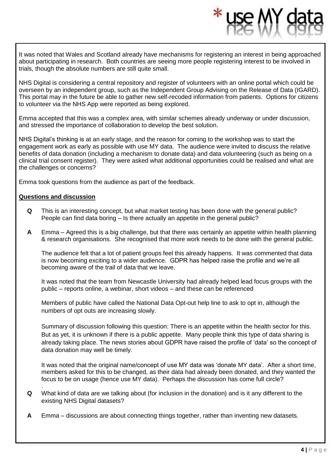It was noted that Wales and Scotland already have mechanisms for registering an interest in being approached about participating in research. Both countries are seeing more people registering interest to be involved in trials, though the absolute numbers are still quite small.

NHS Digital is considering a central repository and register of volunteers with an online portal which could be overseen by an independent group, such as the Independent Group Advising on the Release of Data (IGARD). This portal may in the future be able to gather new self-recoded information from patients. Options for citizens to volunteer via the NHS App were reported as being explored.

Emma accepted that this was a complex area, with similar schemes already underway or under discussion, and stressed the importance of collaboration to develop the best solution.

NHS Digital's thinking is at an early stage, and the reason for coming to the workshop was to start the engagement work as early as possible with use MY data. The audience were invited to discuss the relative benefits of data donation (including a mechanism to donate data) and data volunteering (such as being on a clinical trial consent register). They were asked what additional opportunities could be realised and what are the challenges or concerns?

Emma took questions from the audience as part of the feedback.

#### **Questions and discussion**

- **Q** This is an interesting concept, but what market testing has been done with the general public? People can find data boring – Is there actually an appetite in the general public?
- **A** Emma Agreed this is a big challenge, but that there was certainly an appetite within health planning & research organisations. She recognised that more work needs to be done with the general public.

The audience felt that a lot of patient groups feel this already happens. It was commented that data is now becoming exciting to a wider audience. GDPR has helped raise the profile and we're all becoming aware of the trail of data that we leave.

It was noted that the team from Newcastle University had already helped lead focus groups with the public – reports online, a webinar, short videos – and these can be referenced

Members of public have called the National Data Opt-out help line to ask to opt in, although the numbers of opt outs are increasing slowly.

Summary of discussion following this question: There is an appetite within the health sector for this. But as yet, it is unknown if there is a public appetite. Many people think this type of data sharing is already taking place. The news stories about GDPR have raised the profile of 'data' so the concept of data donation may well be timely.

It was noted that the original name/concept of use MY data was 'donate MY data'. After a short time, members asked for this to be changed, as their data had already been donated, and they wanted the focus to be on usage (hence use MY data). Perhaps the discussion has come full circle?

- . **Q** What kind of data are we talking about (for inclusion in the donation) and is it any different to the existing NHS Digital datasets?
- **A** Emma discussions are about connecting things together, rather than inventing new datasets.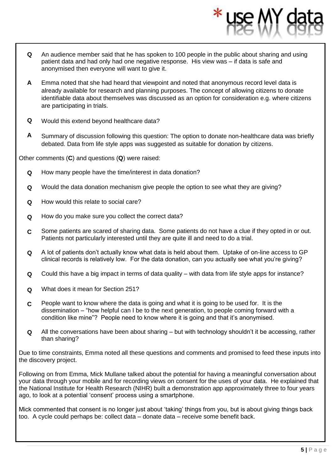- **Q** An audience member said that he has spoken to 100 people in the public about sharing and using patient data and had only had one negative response. His view was – if data is safe and anonymised then everyone will want to give it.
- **A** Emma noted that she had heard that viewpoint and noted that anonymous record level data is already available for research and planning purposes. The concept of allowing citizens to donate identifiable data about themselves was discussed as an option for consideration e.g. where citizens are participating in trials.
- **Q** Would this extend beyond healthcare data?
- **A** Summary of discussion following this question: The option to donate non-healthcare data was briefly debated. Data from life style apps was suggested as suitable for donation by citizens.

Other comments (**C**) and questions (**Q**) were raised:

- **Q** How many people have the time/interest in data donation?
- **Q** Would the data donation mechanism give people the option to see what they are giving?
- **Q** How would this relate to social care?
- **Q** How do you make sure you collect the correct data?
- **C** Some patients are scared of sharing data. Some patients do not have a clue if they opted in or out. Patients not particularly interested until they are quite ill and need to do a trial.
- **Q** A lot of patients don't actually know what data is held about them. Uptake of on-line access to GP clinical records is relatively low. For the data donation, can you actually see what you're giving?
- **Q** Could this have a big impact in terms of data quality with data from life style apps for instance?
- **Q** What does it mean for Section 251?
- **C** People want to know where the data is going and what it is going to be used for. It is the dissemination – "how helpful can I be to the next generation, to people coming forward with a condition like mine"? People need to know where it is going and that it's anonymised.
- **Q** All the conversations have been about sharing but with technology shouldn't it be accessing, rather than sharing?

Due to time constraints, Emma noted all these questions and comments and promised to feed these inputs into the discovery project.

Following on from Emma, Mick Mullane talked about the potential for having a meaningful conversation about your data through your mobile and for recording views on consent for the uses of your data. He explained that the National Institute for Health Research (NIHR) built a demonstration app approximately three to four years ago, to look at a potential 'consent' process using a smartphone.

Mick commented that consent is no longer just about 'taking' things from you, but is about giving things back too. A cycle could perhaps be: collect data – donate data – receive some benefit back.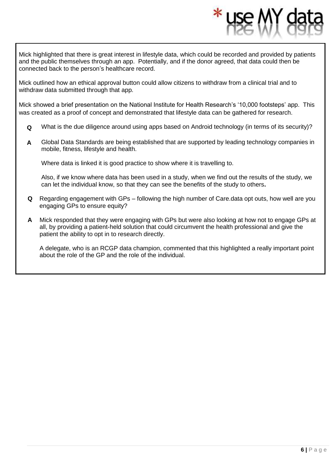Mick highlighted that there is great interest in lifestyle data, which could be recorded and provided by patients and the public themselves through an app. Potentially, and if the donor agreed, that data could then be connected back to the person's healthcare record.

Mick outlined how an ethical approval button could allow citizens to withdraw from a clinical trial and to withdraw data submitted through that app.

Mick showed a brief presentation on the National Institute for Health Research's '10,000 footsteps' app. This was created as a proof of concept and demonstrated that lifestyle data can be gathered for research.

- **Q** What is the due diligence around using apps based on Android technology (in terms of its security)?
- **A** Global Data Standards are being established that are supported by leading technology companies in mobile, fitness, lifestyle and health.

Where data is linked it is good practice to show where it is travelling to.

Also, if we know where data has been used in a study, when we find out the results of the study, we can let the individual know, so that they can see the benefits of the study to others**.**

- **Q** Regarding engagement with GPs following the high number of Care.data opt outs, how well are you engaging GPs to ensure equity?
- **A** Mick responded that they were engaging with GPs but were also looking at how not to engage GPs at all, by providing a patient-held solution that could circumvent the health professional and give the patient the ability to opt in to research directly.

A delegate, who is an RCGP data champion, commented that this highlighted a really important point about the role of the GP and the role of the individual.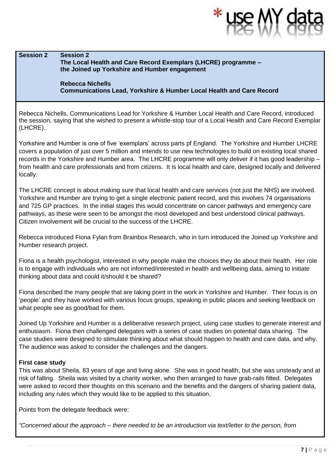

### **Session 2 Session 2**

#### **The Local Health and Care Record Exemplars (LHCRE) programme – the Joined up Yorkshire and Humber engagement**

#### **Rebecca Nichells Communications Lead, Yorkshire & Humber Local Health and Care Record**

Rebecca Nichells, Communications Lead for Yorkshire & Humber Local Health and Care Record, introduced the session, saying that she wished to present a whistle-stop tour of a Local Health and Care Record Exemplar (LHCRE).

Yorkshire and Humber is one of five 'exemplars' across parts pf England. The Yorkshire and Humber LHCRE covers a population of just over 5 million and intends to use new technologies to build on existing local shared records in the Yorkshire and Humber area. The LHCRE programme will only deliver if it has good leadership – from health and care professionals and from citizens. It is local health and care, designed locally and delivered locally.

The LHCRE concept is about making sure that local health and care services (not just the NHS) are involved. Yorkshire and Humber are trying to get a single electronic patient record, and this involves 74 organisations and 725 GP practices. In the initial stages this would concentrate on cancer pathways and emergency care pathways, as these were seen to be amongst the most developed and best understood clinical pathways. Citizen involvement will be crucial to the success of the LHCRE.

Rebecca introduced Fiona Fylan from Brainbox Research, who in turn introduced the Joined up Yorkshire and Humber research project.

Fiona is a health psychologist, interested in why people make the choices they do about their health. Her role is to engage with individuals who are not informed/interested in health and wellbeing data, aiming to initiate thinking about data and could it/should it be shared?

Fiona described the many people that are taking point in the work in Yorkshire and Humber. Their focus is on 'people' and they have worked with various focus groups, speaking in public places and seeking feedback on what people see as good/bad for them.

Joined Up Yorkshire and Humber is a deliberative research project, using case studies to generate interest and enthusiasm. Fiona then challenged delegates with a series of case studies on potential data sharing. The case studies were designed to stimulate thinking about what should happen to health and care data, and why. The audience was asked to consider the challenges and the dangers.

#### **First case study**

This was about Sheila, 83 years of age and living alone. She was in good health, but she was unsteady and at risk of falling. Sheila was visited by a charity worker, who then arranged to have grab-rails fitted. Delegates were asked to record their thoughts on this scenario and the benefits and the dangers of sharing patient data, including any rules which they would like to be applied to this situation,

Points from the delegate feedback were:

*"Concerned about the approach – there needed to be an introduction via text/letter to the person, from*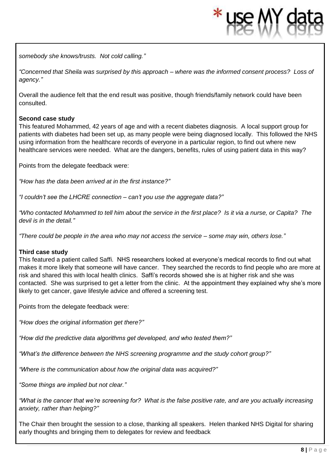*somebody she knows/trusts. Not cold calling."*

*"Concerned that Sheila was surprised by this approach – where was the informed consent process? Loss of agency."*

Overall the audience felt that the end result was positive, though friends/family network could have been consulted.

#### **Second case study**

This featured Mohammed, 42 years of age and with a recent diabetes diagnosis. A local support group for patients with diabetes had been set up, as many people were being diagnosed locally. This followed the NHS using information from the healthcare records of everyone in a particular region, to find out where new healthcare services were needed. What are the dangers, benefits, rules of using patient data in this way?

Points from the delegate feedback were:

*"How has the data been arrived at in the first instance?"*

*"I couldn't see the LHCRE connection – can't you use the aggregate data?"*

*"Who contacted Mohammed to tell him about the service in the first place? Is it via a nurse, or Capita? The devil is in the detail."*

*"There could be people in the area who may not access the service – some may win, others lose."*

#### **Third case study**

This featured a patient called Saffi. NHS researchers looked at everyone's medical records to find out what makes it more likely that someone will have cancer. They searched the records to find people who are more at risk and shared this with local health clinics. Saffi's records showed she is at higher risk and she was contacted. She was surprised to get a letter from the clinic. At the appointment they explained why she's more likely to get cancer, gave lifestyle advice and offered a screening test.

Points from the delegate feedback were:

*"How does the original information get there?"*

*"How did the predictive data algorithms get developed, and who tested them?"*

*"What's the difference between the NHS screening programme and the study cohort group?"*

*"Where is the communication about how the original data was acquired?"*

*"Some things are implied but not clear."*

*"What is the cancer that we're screening for? What is the false positive rate, and are you actually increasing anxiety, rather than helping?"*

The Chair then brought the session to a close, thanking all speakers. Helen thanked NHS Digital for sharing early thoughts and bringing them to delegates for review and feedback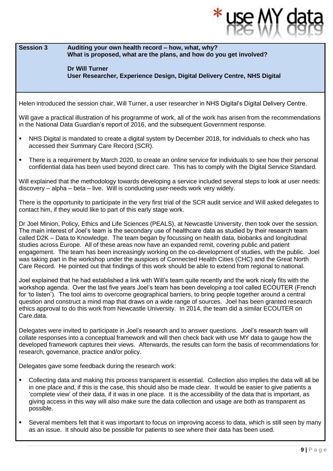

### **Session 3 Auditing your own health record – how, what, why? What is proposed, what are the plans, and how do you get involved? Dr Will Turner User Researcher, Experience Design, Digital Delivery Centre, NHS Digital** Helen introduced the session chair, Will Turner, a user researcher in NHS Digital's Digital Delivery Centre. Will gave a practical illustration of his programme of work, all of the work has arisen from the recommendations in the National Data Guardian's report of 2016, and the subsequent Government response. ▪ NHS Digital is mandated to create a digital system by December 2018, for individuals to check who has accessed their Summary Care Record (SCR). ▪ There is a requirement by March 2020, to create an online service for individuals to see how their personal confidential data has been used beyond direct care. This has to comply with the Digital Service Standard. Will explained that the methodology towards developing a service included several steps to look at user needs: discovery – alpha – beta – live. Will is conducting user-needs work very widely. There is the opportunity to participate in the very first trial of the SCR audit service and Will asked delegates to contact him, if they would like to part of this early stage work. Dr Joel Minion, Policy, Ethics and Life Sciences (PEALS), at Newcastle University, then took over the session. The main interest of Joel's team is the secondary use of healthcare data as studied by their research team called D2K – Data to Knowledge. The team began by focussing on health data, biobanks and longitudinal studies across Europe. All of these areas now have an expanded remit, covering public and patient engagement. The team has been increasingly working on the co-development of studies, with the public. Joel was taking part in the workshop under the auspices of Connected Health Cities (CHC) and the Great North Care Record. He pointed out that findings of this work should be able to extend from regional to national. Joel explained that he had established a link with Will's team quite recently and the work nicely fits with the workshop agenda. Over the last five years Joel's team has been developing a tool called ECOUTER (French for 'to listen'). The tool aims to overcome geographical barriers, to bring people together around a central question and construct a mind map that draws on a wide range of sources. Joel has been granted research ethics approval to do this work from Newcastle University. In 2014, the team did a similar ECOUTER on Care.data. Delegates were invited to participate in Joel's research and to answer questions. Joel's research team will collate responses into a conceptual framework and will then check back with use MY data to gauge how the developed framework captures their views. Afterwards, the results can form the basis of recommendations for research, governance, practice and/or policy. Delegates gave some feedback during the research work: ▪ Collecting data and making this process transparent is essential. Collection also implies the data will all be in one place and, if this is the case, this should also be made clear. It would be easier to give patients a 'complete view' of their data, if it was in one place. It is the accessibility of the data that is important, as giving access in this way will also make sure the data collection and usage are both as transparent as

Several members felt that it was important to focus on improving access to data, which is still seen by many as an issue. It should also be possible for patients to see where their data has been used.

possible.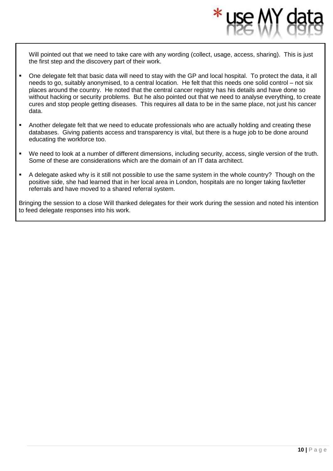Will pointed out that we need to take care with any wording (collect, usage, access, sharing). This is just the first step and the discovery part of their work.

- One delegate felt that basic data will need to stay with the GP and local hospital. To protect the data, it all needs to go, suitably anonymised, to a central location. He felt that this needs one solid control – not six places around the country. He noted that the central cancer registry has his details and have done so without hacking or security problems. But he also pointed out that we need to analyse everything, to create cures and stop people getting diseases. This requires all data to be in the same place, not just his cancer data.
- Another delegate felt that we need to educate professionals who are actually holding and creating these databases. Giving patients access and transparency is vital, but there is a huge job to be done around educating the workforce too.
- We need to look at a number of different dimensions, including security, access, single version of the truth. Some of these are considerations which are the domain of an IT data architect.
- A delegate asked why is it still not possible to use the same system in the whole country? Though on the positive side, she had learned that in her local area in London, hospitals are no longer taking fax/letter referrals and have moved to a shared referral system.

Bringing the session to a close Will thanked delegates for their work during the session and noted his intention to feed delegate responses into his work.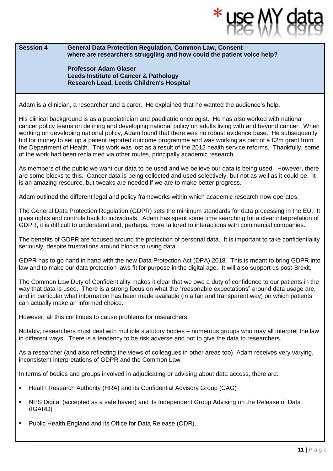#### **Session 4 General Data Protection Regulation, Common Law, Consent – where are researchers struggling and how could the patient voice help?**

**Professor Adam Glaser Leeds Institute of Cancer & Pathology Research Lead, Leeds Children's Hospital**

Adam is a clinician, a researcher and a carer. He explained that he wanted the audience's help.

His clinical background is as a paediatrician and paediatric oncologist. He has also worked with national cancer policy teams on defining and developing national policy on adults living with and beyond cancer. When working on developing national policy, Adam found that there was no robust evidence base. He subsequently bid for money to set up a patient reported outcome programme and was working as part of a £2m grant from the Department of Health. This work was lost as a result of the 2012 health service reforms. Thankfully, some of the work had been reclaimed via other routes, principally academic research.

As members of the public we want our data to be used and we believe our data is being used. However, there are some blocks to this. Cancer data is being collected and used selectively, but not as well as it could be. It is an amazing resource, but tweaks are needed if we are to make better progress.

Adam outlined the different legal and policy frameworks within which academic research now operates.

The General Data Protection Regulation (GDPR) sets the minimum standards for data processing in the EU. It gives rights and controls back to individuals. Adam has spent some time searching for a clear interpretation of GDPR, it is difficult to understand and, perhaps, more tailored to interactions with commercial companies.

The benefits of GDPR are focused around the protection of personal data. It is important to take confidentiality seriously, despite frustrations around blocks to using data.

GDPR has to go hand in hand with the new Data Protection Act (DPA) 2018. This is meant to bring GDPR into law and to make our data protection laws fit for purpose in the digital age. It will also support us post-Brexit.

The Common Law Duty of Confidentiality makes it clear that we owe a duty of confidence to our patients in the way that data is used. There is a strong focus on what the "reasonable expectations" around data usage are, and in particular what information has been made available (in a fair and transparent way) on which patients can actually make an informed choice.

However, all this continues to cause problems for researchers.

Notably, researchers must deal with multiple statutory bodies – numerous groups who may all interpret the law in different ways. There is a tendency to be risk adverse and not to give the data to researchers.

As a researcher (and also reflecting the views of colleagues in other areas too), Adam receives very varying, inconsistent interpretations of GDPR and the Common Law.

In terms of bodies and groups involved in adjudicating or advising about data access, there are:

- Health Research Authority (HRA) and its Confidential Advisory Group (CAG)
- NHS Digital (accepted as a safe haven) and its Independent Group Advising on the Release of Data (IGARD)
- Public Health England and its Office for Data Release (ODR).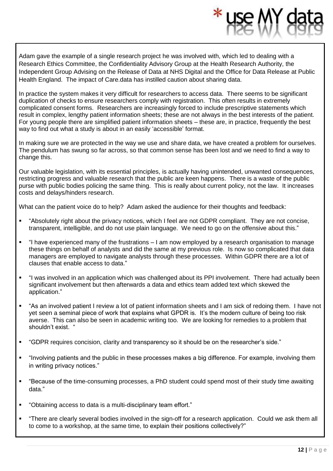Adam gave the example of a single research project he was involved with, which led to dealing with a Research Ethics Committee, the Confidentiality Advisory Group at the Health Research Authority, the Independent Group Advising on the Release of Data at NHS Digital and the Office for Data Release at Public Health England. The impact of Care.data has instilled caution about sharing data.

In practice the system makes it very difficult for researchers to access data. There seems to be significant duplication of checks to ensure researchers comply with registration. This often results in extremely complicated consent forms. Researchers are increasingly forced to include prescriptive statements which result in complex, lengthy patient information sheets; these are not always in the best interests of the patient. For young people there are simplified patient information sheets – these are, in practice, frequently the best way to find out what a study is about in an easily 'accessible' format.

In making sure we are protected in the way we use and share data, we have created a problem for ourselves. The pendulum has swung so far across, so that common sense has been lost and we need to find a way to change this.

Our valuable legislation, with its essential principles, is actually having unintended, unwanted consequences, restricting progress and valuable research that the public are keen happens. There is a waste of the public purse with public bodies policing the same thing. This is really about current policy, not the law. It increases costs and delays/hinders research.

What can the patient voice do to help? Adam asked the audience for their thoughts and feedback:

- "Absolutely right about the privacy notices, which I feel are not GDPR compliant. They are not concise, transparent, intelligible, and do not use plain language. We need to go on the offensive about this."
- "I have experienced many of the frustrations I am now employed by a research organisation to manage these things on behalf of analysts and did the same at my previous role. Is now so complicated that data managers are employed to navigate analysts through these processes. Within GDPR there are a lot of clauses that enable access to data."
- "I was involved in an application which was challenged about its PPI involvement. There had actually been significant involvement but then afterwards a data and ethics team added text which skewed the application."
- "As an involved patient I review a lot of patient information sheets and I am sick of redoing them. I have not yet seen a seminal piece of work that explains what GPDR is. It's the modern culture of being too risk averse. This can also be seen in academic writing too. We are looking for remedies to a problem that shouldn't exist. "
- "GDPR requires concision, clarity and transparency so it should be on the researcher's side."
- "Involving patients and the public in these processes makes a big difference. For example, involving them in writing privacy notices."
- "Because of the time-consuming processes, a PhD student could spend most of their study time awaiting data."
- "Obtaining access to data is a multi-disciplinary team effort."
- "There are clearly several bodies involved in the sign-off for a research application. Could we ask them all to come to a workshop, at the same time, to explain their positions collectively?"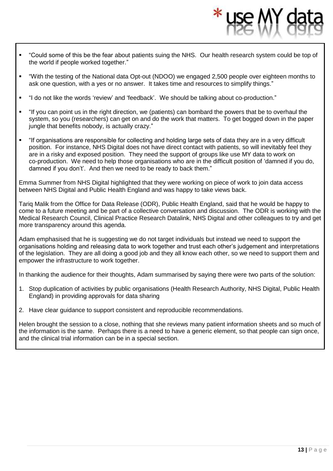- "Could some of this be the fear about patients suing the NHS. Our health research system could be top of the world if people worked together."
- "With the testing of the National data Opt-out (NDOO) we engaged 2,500 people over eighteen months to ask one question, with a yes or no answer. It takes time and resources to simplify things."
- "I do not like the words 'review' and 'feedback'. We should be talking about co-production."
- "If you can point us in the right direction, we (patients) can bombard the powers that be to overhaul the system, so you (researchers) can get on and do the work that matters. To get bogged down in the paper jungle that benefits nobody, is actually crazy."
- "If organisations are responsible for collecting and holding large sets of data they are in a very difficult position. For instance, NHS Digital does not have direct contact with patients, so will inevitably feel they are in a risky and exposed position. They need the support of groups like use MY data to work on co-production. We need to help those organisations who are in the difficult position of 'damned if you do, damned if you don't'. And then we need to be ready to back them."

Emma Summer from NHS Digital highlighted that they were working on piece of work to join data access between NHS Digital and Public Health England and was happy to take views back.

Tariq Malik from the Office for Data Release (ODR), Public Health England, said that he would be happy to come to a future meeting and be part of a collective conversation and discussion. The ODR is working with the Medical Research Council, Clinical Practice Research Datalink, NHS Digital and other colleagues to try and get more transparency around this agenda.

Adam emphasised that he is suggesting we do not target individuals but instead we need to support the organisations holding and releasing data to work together and trust each other's judgement and interpretations of the legislation. They are all doing a good job and they all know each other, so we need to support them and empower the infrastructure to work together.

In thanking the audience for their thoughts, Adam summarised by saying there were two parts of the solution:

- 1. Stop duplication of activities by public organisations (Health Research Authority, NHS Digital, Public Health England) in providing approvals for data sharing
- 2. Have clear guidance to support consistent and reproducible recommendations.

Helen brought the session to a close, nothing that she reviews many patient information sheets and so much of the information is the same. Perhaps there is a need to have a generic element, so that people can sign once, and the clinical trial information can be in a special section.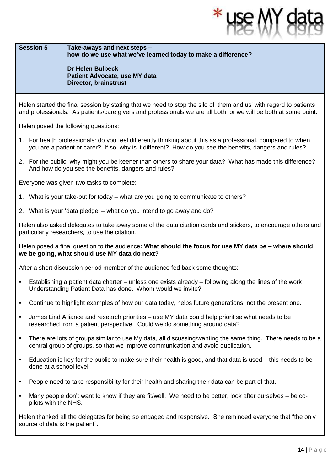

#### **Session 5 Take-aways and next steps – how do we use what we've learned today to make a difference?**

**Dr Helen Bulbeck Patient Advocate, use MY data Director, brainstrust**

Helen started the final session by stating that we need to stop the silo of 'them and us' with regard to patients and professionals. As patients/care givers and professionals we are all both, or we will be both at some point.

Helen posed the following questions:

- 1. For health professionals: do you feel differently thinking about this as a professional, compared to when you are a patient or carer? If so, why is it different? How do you see the benefits, dangers and rules?
- 2. For the public: why might you be keener than others to share your data? What has made this difference? And how do you see the benefits, dangers and rules?

Everyone was given two tasks to complete:

- 1. What is your take-out for today what are you going to communicate to others?
- 2. What is your 'data pledge' what do you intend to go away and do?

Helen also asked delegates to take away some of the data citation cards and stickers, to encourage others and particularly researchers, to use the citation.

Helen posed a final question to the audience**: What should the focus for use MY data be – where should we be going, what should use MY data do next?** 

After a short discussion period member of the audience fed back some thoughts:

- $\blacksquare$  Establishing a patient data charter unless one exists already following along the lines of the work Understanding Patient Data has done. Whom would we invite?
- **•** Continue to highlight examples of how our data today, helps future generations, not the present one.
- **E** James Lind Alliance and research priorities use MY data could help prioritise what needs to be researched from a patient perspective. Could we do something around data?
- There are lots of groups similar to use My data, all discussing/wanting the same thing. There needs to be a central group of groups, so that we improve communication and avoid duplication.
- Education is key for the public to make sure their health is good, and that data is used this needs to be done at a school level
- People need to take responsibility for their health and sharing their data can be part of that.
- Many people don't want to know if they are fit/well. We need to be better, look after ourselves be copilots with the NHS.

Helen thanked all the delegates for being so engaged and responsive. She reminded everyone that "the only source of data is the patient".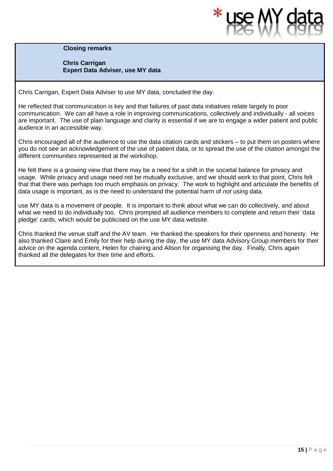**Closing remarks**

#### **Chris Carrigan Expert Data Adviser, use MY data**

Chris Carrigan, Expert Data Adviser to use MY data, concluded the day.

He reflected that communication is key and that failures of past data initiatives relate largely to poor communication. We can all have a role in improving communications, collectively and individually - all voices are important. The use of plain language and clarity is essential if we are to engage a wider patient and public audience in an accessible way.

Chris encouraged all of the audience to use the data citation cards and stickers – to put them on posters where you do not see an acknowledgement of the use of patient data, or to spread the use of the citation amongst the different communities represented at the workshop.

He felt there is a growing view that there may be a need for a shift in the societal balance for privacy and usage. While privacy and usage need not be mutually exclusive, and we should work to that point, Chris felt that that there was perhaps too much emphasis on privacy. The work to highlight and articulate the benefits of data usage is important, as is the need to understand the potential harm of *not* using data.

use MY data is a movement of people. It is important to think about what we can do collectively, and about what we need to do individually too. Chris prompted all audience members to complete and return their 'data pledge' cards, which would be publicised on the use MY data website.

Chris thanked the venue staff and the AV team. He thanked the speakers for their openness and honesty. He also thanked Claire and Emily for their help during the day, the use MY data Advisory Group members for their advice on the agenda content, Helen for chairing and Alison for organising the day. Finally, Chris again thanked all the delegates for their time and efforts.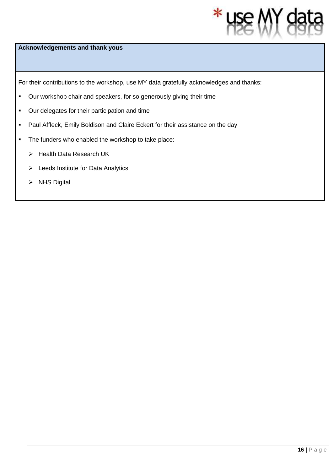## $\ast$

#### **Acknowledgements and thank yous**

For their contributions to the workshop, use MY data gratefully acknowledges and thanks:

- Our workshop chair and speakers, for so generously giving their time
- Our delegates for their participation and time
- Paul Affleck, Emily Boldison and Claire Eckert for their assistance on the day
- The funders who enabled the workshop to take place:
	- ➢ Health Data Research UK
	- ➢ Leeds Institute for Data Analytics
	- ➢ NHS Digital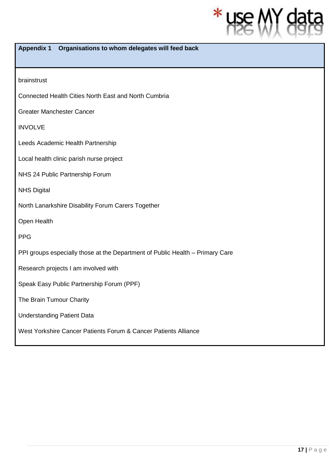

| Appendix 1 Organisations to whom delegates will feed back                     |  |  |
|-------------------------------------------------------------------------------|--|--|
| brainstrust                                                                   |  |  |
| Connected Health Cities North East and North Cumbria                          |  |  |
| <b>Greater Manchester Cancer</b>                                              |  |  |
| <b>INVOLVE</b>                                                                |  |  |
| Leeds Academic Health Partnership                                             |  |  |
| Local health clinic parish nurse project                                      |  |  |
| NHS 24 Public Partnership Forum                                               |  |  |
| <b>NHS Digital</b>                                                            |  |  |
| North Lanarkshire Disability Forum Carers Together                            |  |  |
| Open Health                                                                   |  |  |
| <b>PPG</b>                                                                    |  |  |
| PPI groups especially those at the Department of Public Health - Primary Care |  |  |
| Research projects I am involved with                                          |  |  |
| Speak Easy Public Partnership Forum (PPF)                                     |  |  |
| The Brain Tumour Charity                                                      |  |  |
| <b>Understanding Patient Data</b>                                             |  |  |
| West Yorkshire Cancer Patients Forum & Cancer Patients Alliance               |  |  |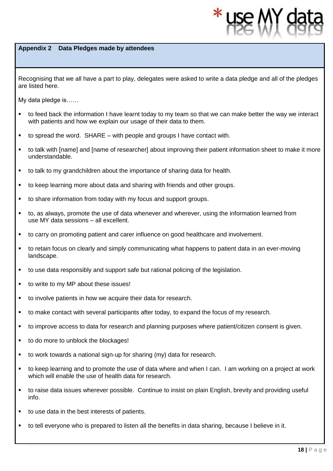#### **Appendix 2 Data Pledges made by attendees**

Recognising that we all have a part to play, delegates were asked to write a data pledge and all of the pledges are listed here.

My data pledge is……

- to feed back the information I have learnt today to my team so that we can make better the way we interact with patients and how we explain our usage of their data to them.
- to spread the word. SHARE with people and groups I have contact with.
- to talk with [name] and [name of researcher] about improving their patient information sheet to make it more understandable.
- to talk to my grandchildren about the importance of sharing data for health.
- to keep learning more about data and sharing with friends and other groups.
- to share information from today with my focus and support groups.
- to, as always, promote the use of data whenever and wherever, using the information learned from use MY data sessions – all excellent.
- to carry on promoting patient and carer influence on good healthcare and involvement.
- to retain focus on clearly and simply communicating what happens to patient data in an ever-moving landscape.
- to use data responsibly and support safe but rational policing of the legislation.
- to write to my MP about these issues!
- to involve patients in how we acquire their data for research.
- to make contact with several participants after today, to expand the focus of my research.
- to improve access to data for research and planning purposes where patient/citizen consent is given.
- to do more to unblock the blockages!
- to work towards a national sign-up for sharing (my) data for research.
- to keep learning and to promote the use of data where and when I can. I am working on a project at work which will enable the use of health data for research.
- to raise data issues wherever possible. Continue to insist on plain English, brevity and providing useful info.
- to use data in the best interests of patients.
- to tell everyone who is prepared to listen all the benefits in data sharing, because I believe in it.